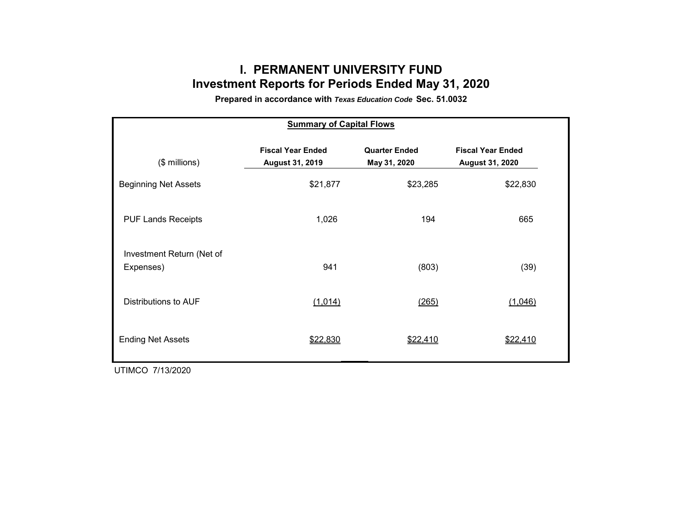# **I. PERMANENT UNIVERSITY FUND Investment Reports for Periods Ended May 31, 2020**

**Prepared in accordance with** *Texas Education Code* **Sec. 51.0032**

| <b>Summary of Capital Flows</b>        |                                                    |                                      |                                                    |  |  |  |  |  |  |  |
|----------------------------------------|----------------------------------------------------|--------------------------------------|----------------------------------------------------|--|--|--|--|--|--|--|
| $($$ millions)                         | <b>Fiscal Year Ended</b><br><b>August 31, 2019</b> | <b>Quarter Ended</b><br>May 31, 2020 | <b>Fiscal Year Ended</b><br><b>August 31, 2020</b> |  |  |  |  |  |  |  |
| <b>Beginning Net Assets</b>            | \$21,877                                           | \$23,285                             | \$22,830                                           |  |  |  |  |  |  |  |
| <b>PUF Lands Receipts</b>              | 1,026                                              | 194                                  | 665                                                |  |  |  |  |  |  |  |
| Investment Return (Net of<br>Expenses) | 941                                                | (803)                                | (39)                                               |  |  |  |  |  |  |  |
| Distributions to AUF                   | (1,014)                                            | (265)                                | (1,046)                                            |  |  |  |  |  |  |  |
| <b>Ending Net Assets</b>               | \$22,830                                           | \$22,410                             | \$22,410                                           |  |  |  |  |  |  |  |

UTIMCO 7/13/2020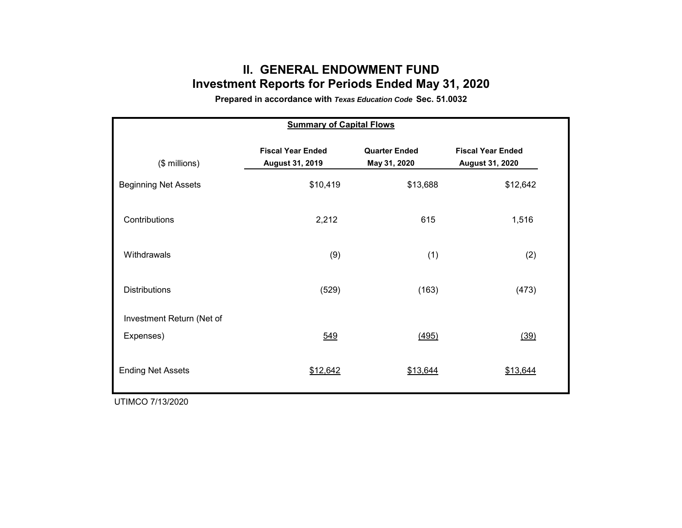## **II. GENERAL ENDOWMENT FUND Investment Reports for Periods Ended May 31, 2020**

**Prepared in accordance with** *Texas Education Code* **Sec. 51.0032**

| <b>Summary of Capital Flows</b> |                                                    |                                      |                                                    |  |  |  |  |  |  |  |  |
|---------------------------------|----------------------------------------------------|--------------------------------------|----------------------------------------------------|--|--|--|--|--|--|--|--|
| $($$ millions)                  | <b>Fiscal Year Ended</b><br><b>August 31, 2019</b> | <b>Quarter Ended</b><br>May 31, 2020 | <b>Fiscal Year Ended</b><br><b>August 31, 2020</b> |  |  |  |  |  |  |  |  |
| <b>Beginning Net Assets</b>     | \$10,419                                           | \$13,688                             | \$12,642                                           |  |  |  |  |  |  |  |  |
| Contributions                   | 2,212                                              | 615                                  | 1,516                                              |  |  |  |  |  |  |  |  |
| Withdrawals                     | (9)                                                | (1)                                  | (2)                                                |  |  |  |  |  |  |  |  |
| <b>Distributions</b>            | (529)                                              | (163)                                | (473)                                              |  |  |  |  |  |  |  |  |
| Investment Return (Net of       |                                                    |                                      |                                                    |  |  |  |  |  |  |  |  |
| Expenses)                       | 549                                                | (495)                                | (39)                                               |  |  |  |  |  |  |  |  |
| <b>Ending Net Assets</b>        | \$12,642                                           | \$13,644                             | \$13,644                                           |  |  |  |  |  |  |  |  |

UTIMCO 7/13/2020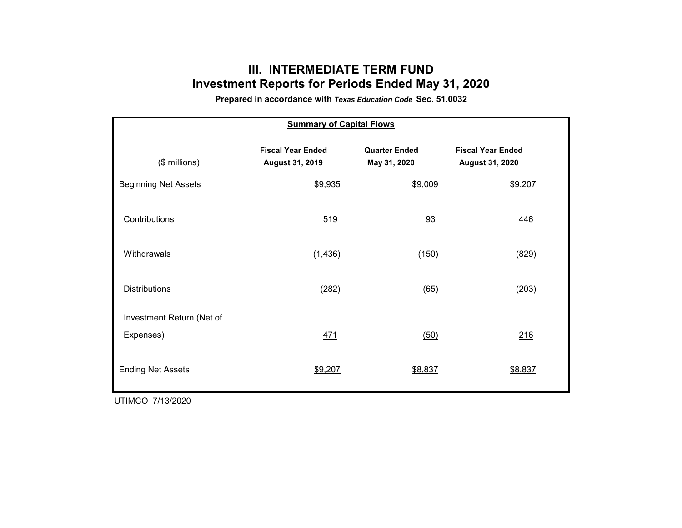## **III. INTERMEDIATE TERM FUND Investment Reports for Periods Ended May 31, 2020**

**Prepared in accordance with** *Texas Education Code* **Sec. 51.0032**

| <b>Summary of Capital Flows</b> |                                                    |                                      |                                                    |  |  |  |  |  |  |  |
|---------------------------------|----------------------------------------------------|--------------------------------------|----------------------------------------------------|--|--|--|--|--|--|--|
| (\$ millions)                   | <b>Fiscal Year Ended</b><br><b>August 31, 2019</b> | <b>Quarter Ended</b><br>May 31, 2020 | <b>Fiscal Year Ended</b><br><b>August 31, 2020</b> |  |  |  |  |  |  |  |
| <b>Beginning Net Assets</b>     | \$9,935                                            | \$9,009                              | \$9,207                                            |  |  |  |  |  |  |  |
| Contributions                   | 519                                                | 93                                   | 446                                                |  |  |  |  |  |  |  |
| Withdrawals                     | (1, 436)                                           | (150)                                | (829)                                              |  |  |  |  |  |  |  |
| <b>Distributions</b>            | (282)                                              | (65)                                 | (203)                                              |  |  |  |  |  |  |  |
| Investment Return (Net of       |                                                    |                                      |                                                    |  |  |  |  |  |  |  |
| Expenses)                       | <u>471</u>                                         | (50)                                 | 216                                                |  |  |  |  |  |  |  |
| <b>Ending Net Assets</b>        | \$9,207                                            | \$8,837                              | \$8,837                                            |  |  |  |  |  |  |  |

UTIMCO 7/13/2020